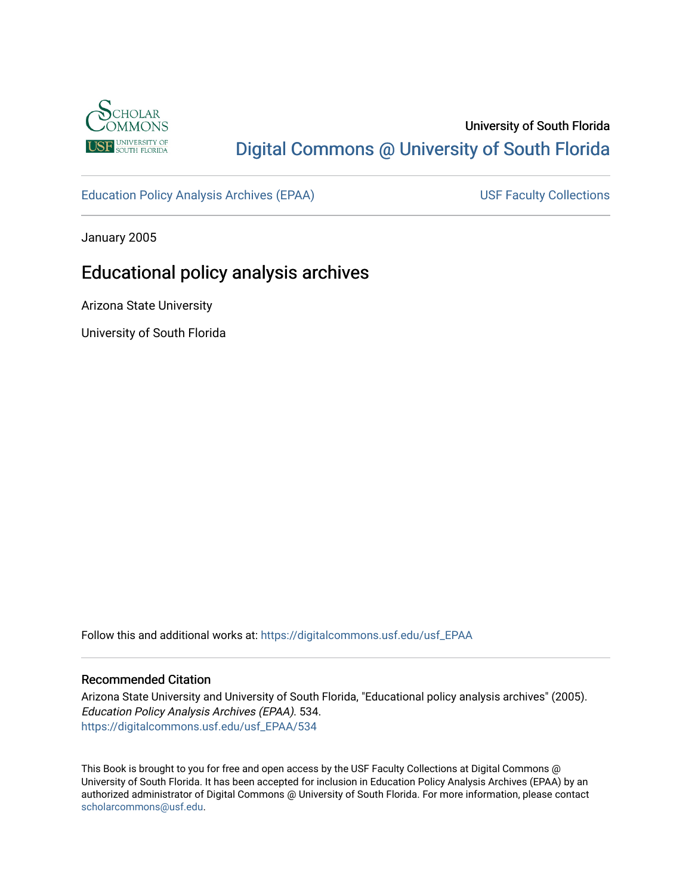

# University of South Florida [Digital Commons @ University of South Florida](https://digitalcommons.usf.edu/)

[Education Policy Analysis Archives \(EPAA\)](https://digitalcommons.usf.edu/usf_EPAA) USF Faculty Collections

January 2005

# Educational policy analysis archives

Arizona State University

University of South Florida

Follow this and additional works at: [https://digitalcommons.usf.edu/usf\\_EPAA](https://digitalcommons.usf.edu/usf_EPAA?utm_source=digitalcommons.usf.edu%2Fusf_EPAA%2F534&utm_medium=PDF&utm_campaign=PDFCoverPages)

#### Recommended Citation

Arizona State University and University of South Florida, "Educational policy analysis archives" (2005). Education Policy Analysis Archives (EPAA). 534. [https://digitalcommons.usf.edu/usf\\_EPAA/534](https://digitalcommons.usf.edu/usf_EPAA/534?utm_source=digitalcommons.usf.edu%2Fusf_EPAA%2F534&utm_medium=PDF&utm_campaign=PDFCoverPages)

This Book is brought to you for free and open access by the USF Faculty Collections at Digital Commons @ University of South Florida. It has been accepted for inclusion in Education Policy Analysis Archives (EPAA) by an authorized administrator of Digital Commons @ University of South Florida. For more information, please contact [scholarcommons@usf.edu.](mailto:scholarcommons@usf.edu)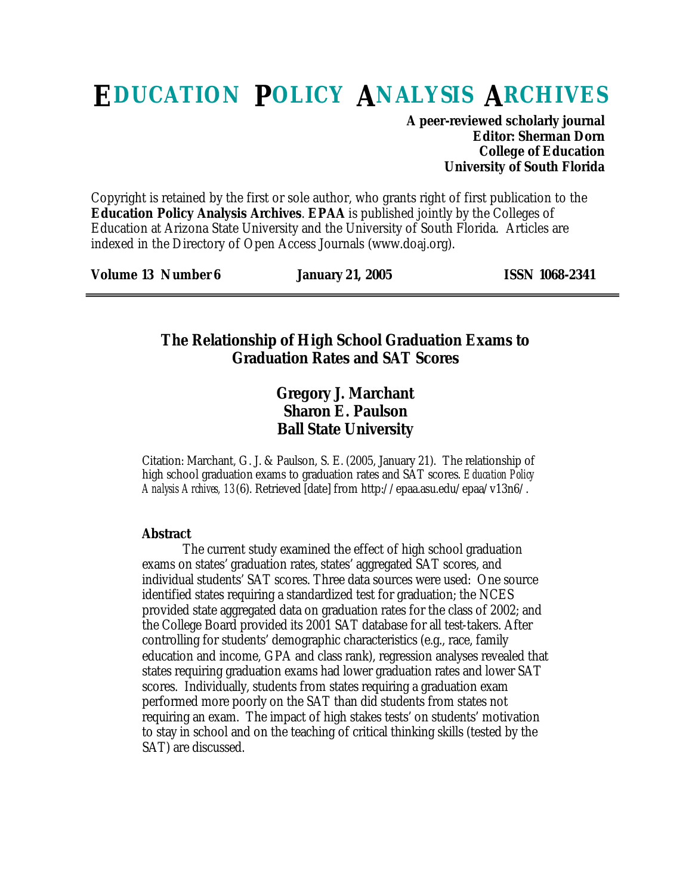# **EDUCATION POLICY ANALYSIS ARCHIVES**

**A peer-reviewed scholarly journal Editor: Sherman Dorn College of Education University of South Florida**

Copyright is retained by the first or sole author, who grants right of first publication to the **Education Policy Analysis Archives**. **EPAA** is published jointly by the Colleges of Education at Arizona State University and the University of South Florida. Articles are indexed in the Directory of Open Access Journals (www.doaj.org).

**Volume 13 Number 6 January 21, 2005 ISSN 1068-2341**

### **The Relationship of High School Graduation Exams to Graduation Rates and SAT Scores**

## **Gregory J. Marchant Sharon E. Paulson Ball State University**

Citation: Marchant, G. J. & Paulson, S. E. (2005, January 21). The relationship of high school graduation exams to graduation rates and SAT scores. *Education Policy Analysis Archives, 13*(6). Retrieved [date] from http://epaa.asu.edu/epaa/v13n6/.

#### **Abstract**

The current study examined the effect of high school graduation exams on states' graduation rates, states' aggregated SAT scores, and individual students' SAT scores. Three data sources were used: One source identified states requiring a standardized test for graduation; the NCES provided state aggregated data on graduation rates for the class of 2002; and the College Board provided its 2001 SAT database for all test-takers. After controlling for students' demographic characteristics (e.g., race, family education and income, GPA and class rank), regression analyses revealed that states requiring graduation exams had lower graduation rates and lower SAT scores. Individually, students from states requiring a graduation exam performed more poorly on the SAT than did students from states not requiring an exam. The impact of high stakes tests' on students' motivation to stay in school and on the teaching of critical thinking skills (tested by the SAT) are discussed.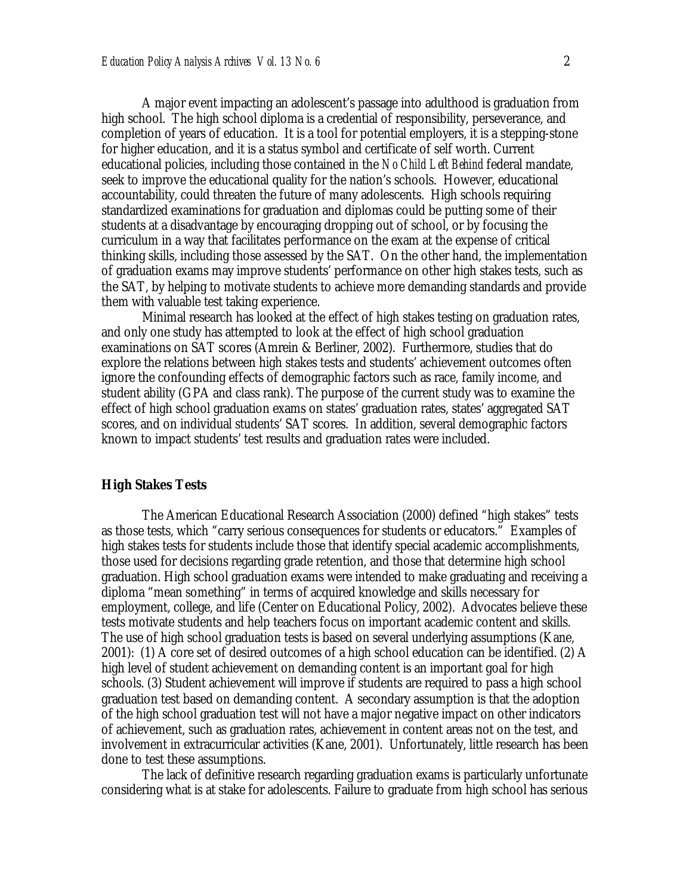A major event impacting an adolescent's passage into adulthood is graduation from high school. The high school diploma is a credential of responsibility, perseverance, and completion of years of education. It is a tool for potential employers, it is a stepping-stone for higher education, and it is a status symbol and certificate of self worth. Current educational policies, including those contained in the *No Child Left Behind* federal mandate, seek to improve the educational quality for the nation's schools. However, educational accountability, could threaten the future of many adolescents. High schools requiring standardized examinations for graduation and diplomas could be putting some of their students at a disadvantage by encouraging dropping out of school, or by focusing the curriculum in a way that facilitates performance on the exam at the expense of critical thinking skills, including those assessed by the SAT. On the other hand, the implementation of graduation exams may improve students' performance on other high stakes tests, such as the SAT, by helping to motivate students to achieve more demanding standards and provide them with valuable test taking experience.

Minimal research has looked at the effect of high stakes testing on graduation rates, and only one study has attempted to look at the effect of high school graduation examinations on SAT scores (Amrein & Berliner, 2002). Furthermore, studies that do explore the relations between high stakes tests and students' achievement outcomes often ignore the confounding effects of demographic factors such as race, family income, and student ability (GPA and class rank). The purpose of the current study was to examine the effect of high school graduation exams on states' graduation rates, states' aggregated SAT scores, and on individual students' SAT scores. In addition, several demographic factors known to impact students' test results and graduation rates were included.

#### **High Stakes Tests**

The American Educational Research Association (2000) defined "high stakes" tests as those tests, which "carry serious consequences for students or educators." Examples of high stakes tests for students include those that identify special academic accomplishments, those used for decisions regarding grade retention, and those that determine high school graduation. High school graduation exams were intended to make graduating and receiving a diploma "mean something" in terms of acquired knowledge and skills necessary for employment, college, and life (Center on Educational Policy, 2002). Advocates believe these tests motivate students and help teachers focus on important academic content and skills. The use of high school graduation tests is based on several underlying assumptions (Kane, 2001): (1) A core set of desired outcomes of a high school education can be identified. (2) A high level of student achievement on demanding content is an important goal for high schools. (3) Student achievement will improve if students are required to pass a high school graduation test based on demanding content. A secondary assumption is that the adoption of the high school graduation test will not have a major negative impact on other indicators of achievement, such as graduation rates, achievement in content areas not on the test, and involvement in extracurricular activities (Kane, 2001). Unfortunately, little research has been done to test these assumptions.

The lack of definitive research regarding graduation exams is particularly unfortunate considering what is at stake for adolescents. Failure to graduate from high school has serious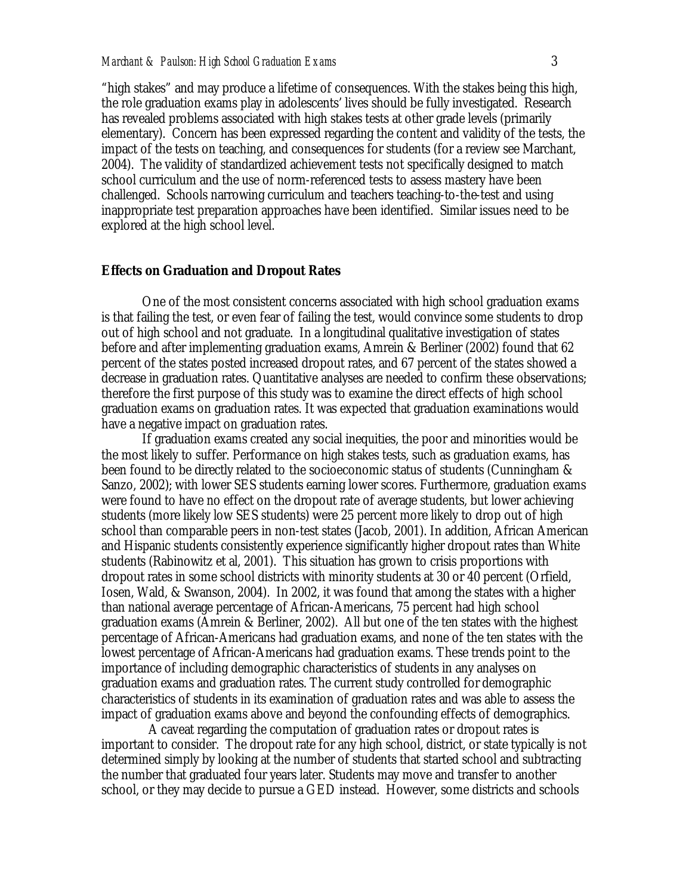"high stakes" and may produce a lifetime of consequences. With the stakes being this high, the role graduation exams play in adolescents' lives should be fully investigated. Research has revealed problems associated with high stakes tests at other grade levels (primarily elementary). Concern has been expressed regarding the content and validity of the tests, the impact of the tests on teaching, and consequences for students (for a review see Marchant, 2004). The validity of standardized achievement tests not specifically designed to match school curriculum and the use of norm-referenced tests to assess mastery have been challenged. Schools narrowing curriculum and teachers teaching-to-the-test and using inappropriate test preparation approaches have been identified. Similar issues need to be explored at the high school level.

#### **Effects on Graduation and Dropout Rates**

One of the most consistent concerns associated with high school graduation exams is that failing the test, or even fear of failing the test, would convince some students to drop out of high school and not graduate. In a longitudinal qualitative investigation of states before and after implementing graduation exams, Amrein & Berliner (2002) found that 62 percent of the states posted increased dropout rates, and 67 percent of the states showed a decrease in graduation rates. Quantitative analyses are needed to confirm these observations; therefore the first purpose of this study was to examine the direct effects of high school graduation exams on graduation rates. It was expected that graduation examinations would have a negative impact on graduation rates.

If graduation exams created any social inequities, the poor and minorities would be the most likely to suffer. Performance on high stakes tests, such as graduation exams, has been found to be directly related to the socioeconomic status of students (Cunningham & Sanzo, 2002); with lower SES students earning lower scores. Furthermore, graduation exams were found to have no effect on the dropout rate of average students, but lower achieving students (more likely low SES students) were 25 percent more likely to drop out of high school than comparable peers in non-test states (Jacob, 2001). In addition, African American and Hispanic students consistently experience significantly higher dropout rates than White students (Rabinowitz et al, 2001). This situation has grown to crisis proportions with dropout rates in some school districts with minority students at 30 or 40 percent (Orfield, Iosen, Wald, & Swanson, 2004). In 2002, it was found that among the states with a higher than national average percentage of African-Americans, 75 percent had high school graduation exams (Amrein & Berliner, 2002). All but one of the ten states with the highest percentage of African-Americans had graduation exams, and none of the ten states with the lowest percentage of African-Americans had graduation exams. These trends point to the importance of including demographic characteristics of students in any analyses on graduation exams and graduation rates. The current study controlled for demographic characteristics of students in its examination of graduation rates and was able to assess the impact of graduation exams above and beyond the confounding effects of demographics.

 A caveat regarding the computation of graduation rates or dropout rates is important to consider. The dropout rate for any high school, district, or state typically is not determined simply by looking at the number of students that started school and subtracting the number that graduated four years later. Students may move and transfer to another school, or they may decide to pursue a GED instead. However, some districts and schools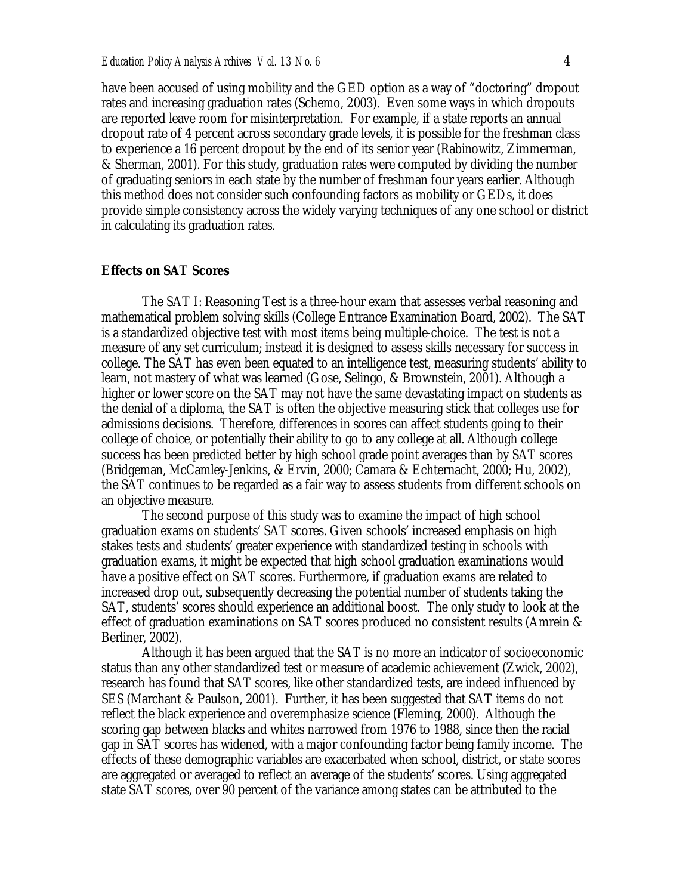have been accused of using mobility and the GED option as a way of "doctoring" dropout rates and increasing graduation rates (Schemo, 2003). Even some ways in which dropouts are reported leave room for misinterpretation. For example, if a state reports an annual dropout rate of 4 percent across secondary grade levels, it is possible for the freshman class to experience a 16 percent dropout by the end of its senior year (Rabinowitz, Zimmerman, & Sherman, 2001). For this study, graduation rates were computed by dividing the number of graduating seniors in each state by the number of freshman four years earlier. Although this method does not consider such confounding factors as mobility or GEDs, it does provide simple consistency across the widely varying techniques of any one school or district in calculating its graduation rates.

#### **Effects on SAT Scores**

The SAT I: Reasoning Test is a three-hour exam that assesses verbal reasoning and mathematical problem solving skills (College Entrance Examination Board, 2002). The SAT is a standardized objective test with most items being multiple-choice. The test is not a measure of any set curriculum; instead it is designed to assess skills necessary for success in college. The SAT has even been equated to an intelligence test, measuring students' ability to learn, not mastery of what was learned (Gose, Selingo, & Brownstein, 2001). Although a higher or lower score on the SAT may not have the same devastating impact on students as the denial of a diploma, the SAT is often the objective measuring stick that colleges use for admissions decisions. Therefore, differences in scores can affect students going to their college of choice, or potentially their ability to go to any college at all. Although college success has been predicted better by high school grade point averages than by SAT scores (Bridgeman, McCamley-Jenkins, & Ervin, 2000; Camara & Echternacht, 2000; Hu, 2002), the SAT continues to be regarded as a fair way to assess students from different schools on an objective measure.

The second purpose of this study was to examine the impact of high school graduation exams on students' SAT scores. Given schools' increased emphasis on high stakes tests and students' greater experience with standardized testing in schools with graduation exams, it might be expected that high school graduation examinations would have a positive effect on SAT scores. Furthermore, if graduation exams are related to increased drop out, subsequently decreasing the potential number of students taking the SAT, students' scores should experience an additional boost. The only study to look at the effect of graduation examinations on SAT scores produced no consistent results (Amrein & Berliner, 2002).

Although it has been argued that the SAT is no more an indicator of socioeconomic status than any other standardized test or measure of academic achievement (Zwick, 2002), research has found that SAT scores, like other standardized tests, are indeed influenced by SES (Marchant & Paulson, 2001). Further, it has been suggested that SAT items do not reflect the black experience and overemphasize science (Fleming, 2000). Although the scoring gap between blacks and whites narrowed from 1976 to 1988, since then the racial gap in SAT scores has widened, with a major confounding factor being family income. The effects of these demographic variables are exacerbated when school, district, or state scores are aggregated or averaged to reflect an average of the students' scores. Using aggregated state SAT scores, over 90 percent of the variance among states can be attributed to the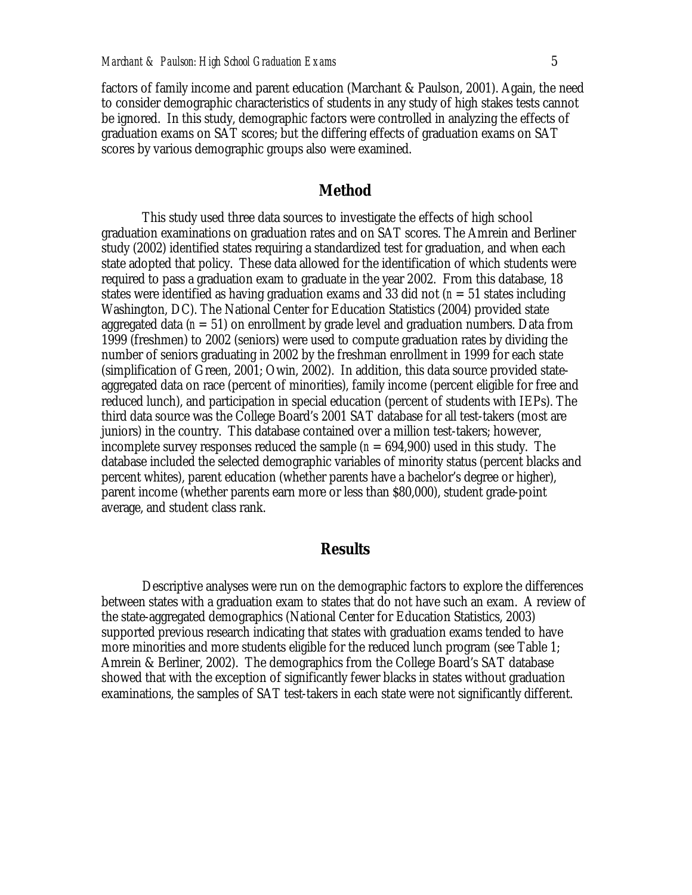factors of family income and parent education (Marchant & Paulson, 2001). Again, the need to consider demographic characteristics of students in any study of high stakes tests cannot be ignored. In this study, demographic factors were controlled in analyzing the effects of graduation exams on SAT scores; but the differing effects of graduation exams on SAT scores by various demographic groups also were examined.

#### **Method**

This study used three data sources to investigate the effects of high school graduation examinations on graduation rates and on SAT scores. The Amrein and Berliner study (2002) identified states requiring a standardized test for graduation, and when each state adopted that policy. These data allowed for the identification of which students were required to pass a graduation exam to graduate in the year 2002. From this database, 18 states were identified as having graduation exams and 33 did not (*n* = 51 states including Washington, DC). The National Center for Education Statistics (2004) provided state aggregated data  $(n = 51)$  on enrollment by grade level and graduation numbers. Data from 1999 (freshmen) to 2002 (seniors) were used to compute graduation rates by dividing the number of seniors graduating in 2002 by the freshman enrollment in 1999 for each state (simplification of Green, 2001; Owin, 2002). In addition, this data source provided stateaggregated data on race (percent of minorities), family income (percent eligible for free and reduced lunch), and participation in special education (percent of students with IEPs). The third data source was the College Board's 2001 SAT database for all test-takers (most are juniors) in the country. This database contained over a million test-takers; however, incomplete survey responses reduced the sample  $(n = 694,900)$  used in this study. The database included the selected demographic variables of minority status (percent blacks and percent whites), parent education (whether parents have a bachelor's degree or higher), parent income (whether parents earn more or less than \$80,000), student grade-point average, and student class rank.

#### **Results**

Descriptive analyses were run on the demographic factors to explore the differences between states with a graduation exam to states that do not have such an exam. A review of the state-aggregated demographics (National Center for Education Statistics, 2003) supported previous research indicating that states with graduation exams tended to have more minorities and more students eligible for the reduced lunch program (see Table 1; Amrein & Berliner, 2002). The demographics from the College Board's SAT database showed that with the exception of significantly fewer blacks in states without graduation examinations, the samples of SAT test-takers in each state were not significantly different.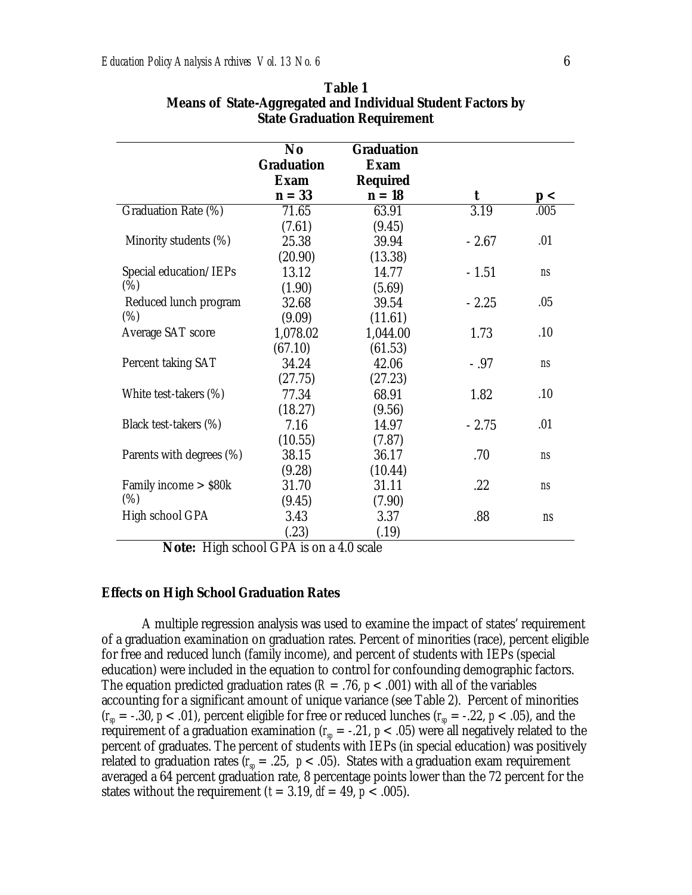|                            | No                | <b>Graduation</b> |         |             |
|----------------------------|-------------------|-------------------|---------|-------------|
|                            | <b>Graduation</b> | <b>Exam</b>       |         |             |
|                            | <b>Exam</b>       | <b>Required</b>   |         |             |
|                            | $n = 33$          | $n=18$            | t       | p<          |
| Graduation Rate (%)        | 71.65             | 63.91             | 3.19    | .005        |
|                            | (7.61)            | (9.45)            |         |             |
| Minority students (%)      | 25.38             | 39.94             | $-2.67$ | .01         |
|                            | (20.90)           | (13.38)           |         |             |
| Special education/IEPs     | 13.12             | 14.77             | $-1.51$ | ns          |
| (%)                        | (1.90)            | (5.69)            |         |             |
| Reduced lunch program      | 32.68             | 39.54             | $-2.25$ | .05         |
| $(\%)$                     | (9.09)            | (11.61)           |         |             |
| Average SAT score          | 1,078.02          | 1,044.00          | 1.73    | .10         |
|                            | (67.10)           | (61.53)           |         |             |
| Percent taking SAT         | 34.24             | 42.06             | $-.97$  | <b>ns</b>   |
|                            | (27.75)           | (27.23)           |         |             |
| White test-takers (%)      | 77.34             | 68.91             | 1.82    | .10         |
|                            | (18.27)           | (9.56)            |         |             |
| Black test-takers (%)      | 7.16              | 14.97             | $-2.75$ | .01         |
|                            | (10.55)           | (7.87)            |         |             |
| Parents with degrees (%)   | 38.15             | 36.17             | .70     | <b>ns</b>   |
|                            | (9.28)            | (10.44)           |         |             |
| Family income $>$ \$80 $k$ | 31.70             | 31.11             | .22     | <b>ns</b>   |
| $(\%)$                     | (9.45)            | (7.90)            |         |             |
| High school GPA            | 3.43              | 3.37              | .88     | $\sqrt{ns}$ |
|                            | (.23)             | (.19)             |         |             |

**Table 1 Means of State-Aggregated and Individual Student Factors by State Graduation Requirement**

**Note:** High school GPA is on a 4.0 scale

#### **Effects on High School Graduation Rates**

A multiple regression analysis was used to examine the impact of states' requirement of a graduation examination on graduation rates. Percent of minorities (race), percent eligible for free and reduced lunch (family income), and percent of students with IEPs (special education) were included in the equation to control for confounding demographic factors. The equation predicted graduation rates ( $R = .76$ ,  $p < .001$ ) with all of the variables accounting for a significant amount of unique variance (see Table 2). Percent of minorities  $(r_{sp} = -.30, p < .01)$ , percent eligible for free or reduced lunches  $(r_{sp} = -.22, p < .05)$ , and the requirement of a graduation examination ( $r<sub>sp</sub> = -.21$ ,  $p < .05$ ) were all negatively related to the percent of graduates. The percent of students with IEPs (in special education) was positively related to graduation rates  $(r_{sp} = .25, p < .05)$ . States with a graduation exam requirement averaged a 64 percent graduation rate, 8 percentage points lower than the 72 percent for the states without the requirement  $(t = 3.19, df = 49, p < .005)$ .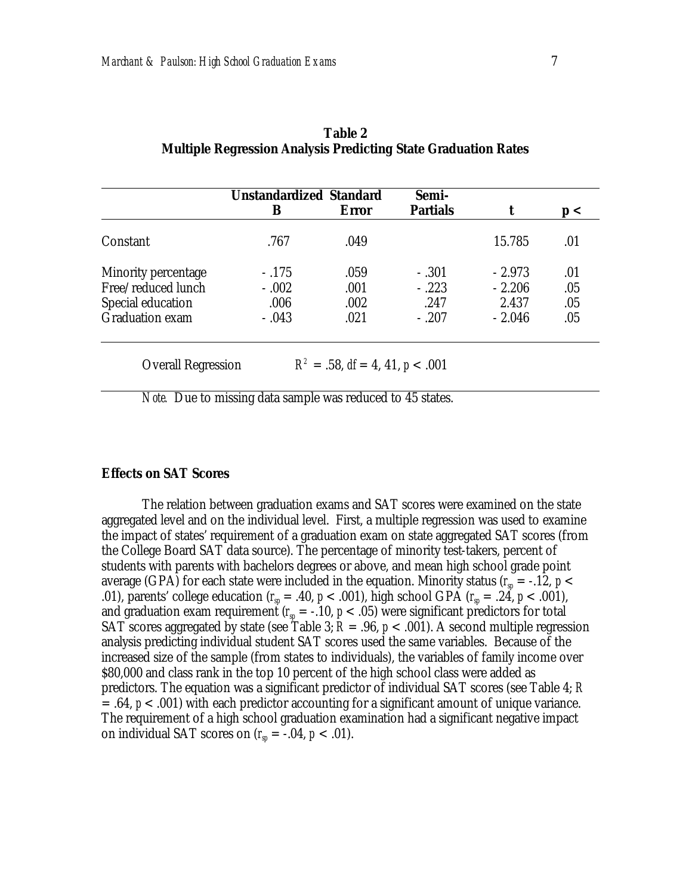|                        | <b>Unstandardized Standard</b> |              | Semi-           |          |     |
|------------------------|--------------------------------|--------------|-----------------|----------|-----|
|                        | B                              | <b>Error</b> | <b>Partials</b> |          | p<  |
| Constant               | .767                           | .049         |                 | 15.785   | .01 |
| Minority percentage    | $-.175$                        | .059         | $-.301$         | $-2.973$ | .01 |
| Free/reduced lunch     | $-.002$                        | .001         | $-.223$         | $-2.206$ | .05 |
| Special education      | .006                           | .002         | .247            | 2.437    | .05 |
| <b>Graduation exam</b> | $-.043$                        | .021         | $-.207$         | $-2.046$ | .05 |

|                                                                | Table 2 |  |
|----------------------------------------------------------------|---------|--|
| Multiple Regression Analysis Predicting State Graduation Rates |         |  |

*Note.* Due to missing data sample was reduced to 45 states.

#### **Effects on SAT Scores**

The relation between graduation exams and SAT scores were examined on the state aggregated level and on the individual level. First, a multiple regression was used to examine the impact of states' requirement of a graduation exam on state aggregated SAT scores (from the College Board SAT data source). The percentage of minority test-takers, percent of students with parents with bachelors degrees or above, and mean high school grade point average (GPA) for each state were included in the equation. Minority status ( $r_{\rm sp}$  = -.12,  $\emph{p}$  < .01), parents' college education ( $r<sub>p</sub> = .40$ ,  $p < .001$ ), high school GPA ( $r<sub>p</sub> = .24$ ,  $p < .001$ ), and graduation exam requirement ( $r_{sp}$  = -.10,  $p$  < .05) were significant predictors for total SAT scores aggregated by state (see Table 3;  $R = .96$ ,  $p < .001$ ). A second multiple regression analysis predicting individual student SAT scores used the same variables. Because of the increased size of the sample (from states to individuals), the variables of family income over \$80,000 and class rank in the top 10 percent of the high school class were added as predictors. The equation was a significant predictor of individual SAT scores (see Table 4; *R* = .64, *p* < .001) with each predictor accounting for a significant amount of unique variance. The requirement of a high school graduation examination had a significant negative impact on individual SAT scores on  $(r_{sp} = -.04, p < .01)$ .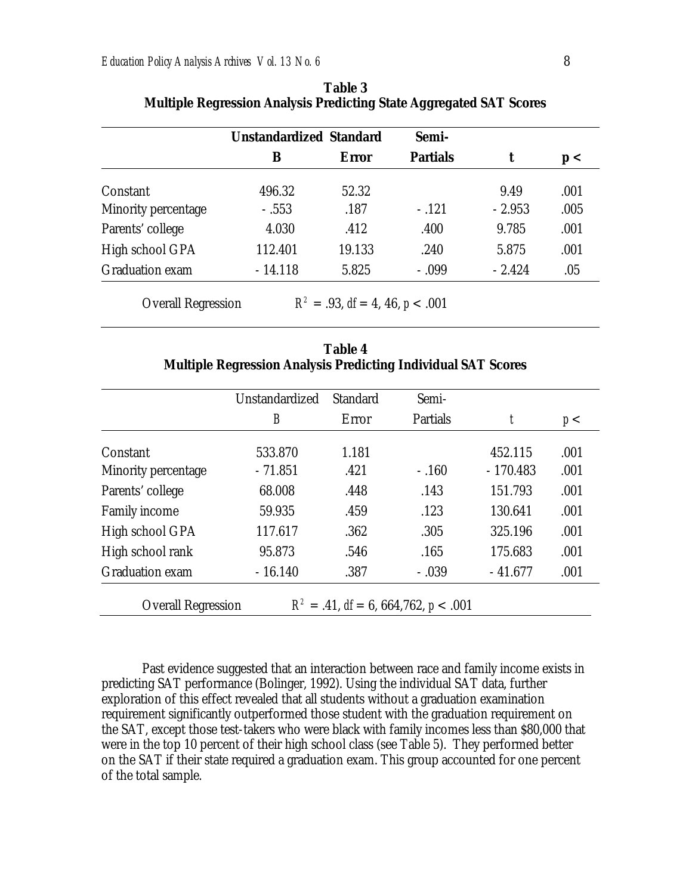| <b>Unstandardized Standard</b> |        | Semi-           |          |      |
|--------------------------------|--------|-----------------|----------|------|
| B                              | Error  | <b>Partials</b> |          | p<   |
| 496.32                         | 52.32  |                 | 9.49     | .001 |
| $-.553$                        | .187   | $-.121$         | $-2.953$ | .005 |
| 4.030                          | .412   | .400            | 9.785    | .001 |
| 112.401                        | 19.133 | .240            | 5.875    | .001 |
| $-14.118$                      | 5.825  | $-.099$         | $-2.424$ | .05  |
|                                |        |                 |          |      |

| <b>Table 3</b>                                                             |
|----------------------------------------------------------------------------|
| <b>Multiple Regression Analysis Predicting State Aggregated SAT Scores</b> |

**Overall Regression**  $R^2 = .93$ , *df* = 4, 46, *p* < .001

| Table 4 |                                                                      |
|---------|----------------------------------------------------------------------|
|         | <b>Multiple Regression Analysis Predicting Individual SAT Scores</b> |

|                                                                            | Unstandardized | <b>Standard</b> | Semi-    |            |      |
|----------------------------------------------------------------------------|----------------|-----------------|----------|------------|------|
|                                                                            | B              | Error           | Partials | t          | p<   |
| Constant                                                                   | 533.870        | 1.181           |          | 452.115    | .001 |
| Minority percentage                                                        | $-71.851$      | .421            | $-.160$  | $-170.483$ | .001 |
| Parents' college                                                           | 68.008         | .448            | .143     | 151.793    | .001 |
| <b>Family income</b>                                                       | 59.935         | .459            | .123     | 130.641    | .001 |
| High school GPA                                                            | 117.617        | .362            | .305     | 325.196    | .001 |
| High school rank                                                           | 95.873         | .546            | .165     | 175.683    | .001 |
| <b>Graduation exam</b>                                                     | $-16.140$      | .387            | $-.039$  | $-41.677$  | .001 |
| $R^2 = .41$ , $df = 6$ , 664, 762, $p < .001$<br><b>Overall Regression</b> |                |                 |          |            |      |

Past evidence suggested that an interaction between race and family income exists in predicting SAT performance (Bolinger, 1992). Using the individual SAT data, further exploration of this effect revealed that all students without a graduation examination requirement significantly outperformed those student with the graduation requirement on the SAT, except those test-takers who were black with family incomes less than \$80,000 that were in the top 10 percent of their high school class (see Table 5). They performed better on the SAT if their state required a graduation exam. This group accounted for one percent of the total sample.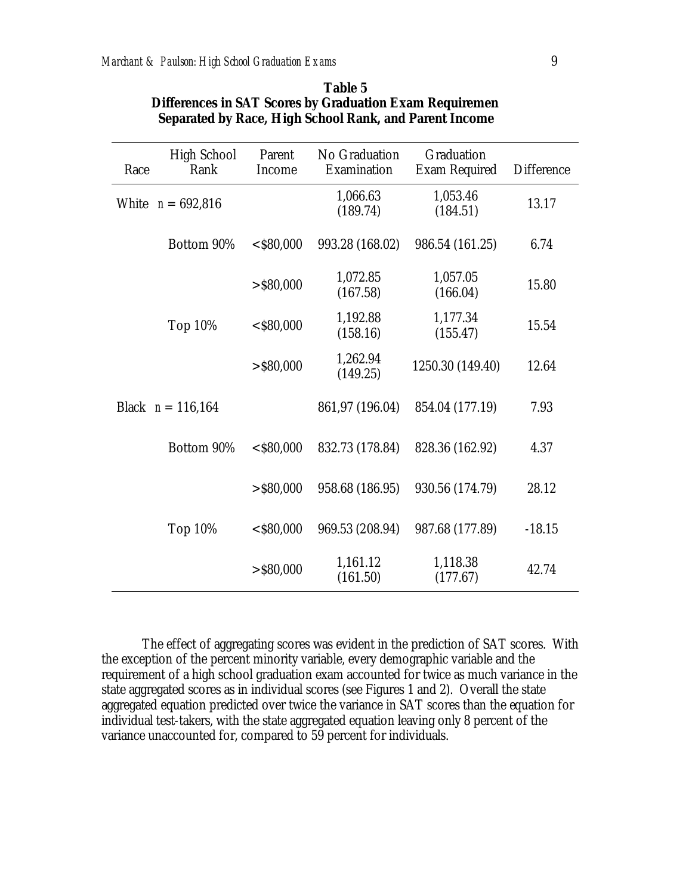| Race | <b>High School</b><br>Rank | Parent<br>Income     | No Graduation<br>Examination | Graduation<br><b>Exam Required</b> | <b>Difference</b> |
|------|----------------------------|----------------------|------------------------------|------------------------------------|-------------------|
|      | White $n = 692,816$        |                      | 1,066.63<br>(189.74)         | 1,053.46<br>(184.51)               | 13.17             |
|      | Bottom 90%                 | $<$ \$80,000         | 993.28 (168.02)              | 986.54 (161.25)                    | 6.74              |
|      |                            | $>$ \$80,000         | 1,072.85<br>(167.58)         | 1,057.05<br>(166.04)               | 15.80             |
|      | Top 10%                    | $<$ \$80,000         | 1,192.88<br>(158.16)         | 1,177.34<br>(155.47)               | 15.54             |
|      | $>$ \$80,000               | 1,262.94<br>(149.25) | 1250.30 (149.40)             | 12.64                              |                   |
|      | Black $n = 116,164$        |                      | 861,97 (196.04)              | 854.04 (177.19)                    | 7.93              |
|      | Bottom 90%                 | $<$ \$80,000         | 832.73 (178.84)              | 828.36 (162.92)                    | 4.37              |
|      |                            | $>$ \$80,000         | 958.68 (186.95)              | 930.56 (174.79)                    | 28.12             |
|      | Top 10%                    | $<$ \$80,000         | 969.53 (208.94)              | 987.68 (177.89)                    | $-18.15$          |
|      |                            | $>$ \$80,000         | 1,161.12<br>(161.50)         | 1,118.38<br>(177.67)               | 42.74             |

#### **Table 5 Differences in SAT Scores by Graduation Exam Requiremen Separated by Race, High School Rank, and Parent Income**

The effect of aggregating scores was evident in the prediction of SAT scores. With the exception of the percent minority variable, every demographic variable and the requirement of a high school graduation exam accounted for twice as much variance in the state aggregated scores as in individual scores (see Figures 1 and 2). Overall the state aggregated equation predicted over twice the variance in SAT scores than the equation for individual test-takers, with the state aggregated equation leaving only 8 percent of the variance unaccounted for, compared to 59 percent for individuals.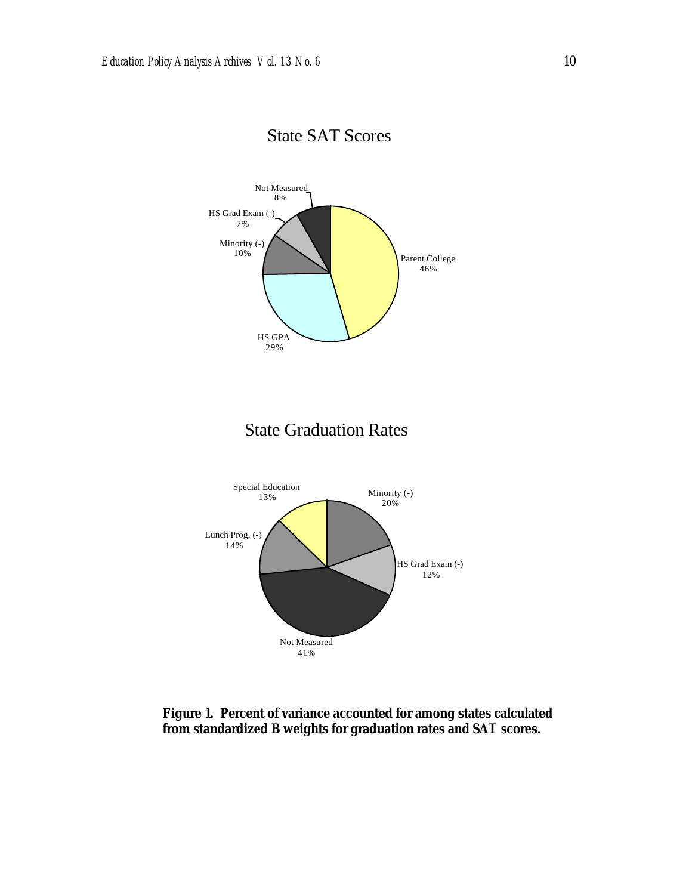

## State SAT Scores

**Figure 1. Percent of variance accounted for among states calculated from standardized B weights for graduation rates and SAT scores.**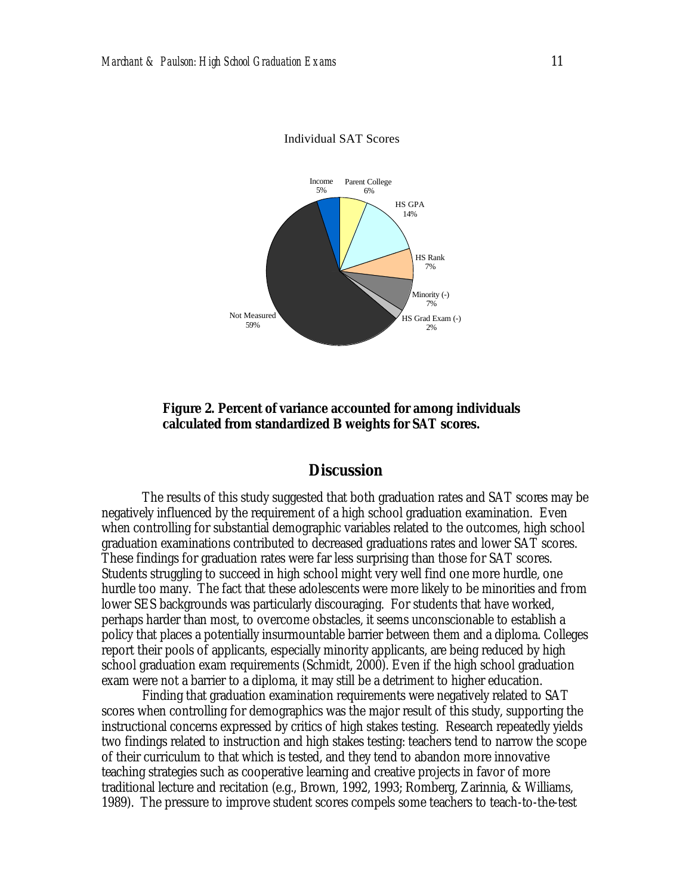

Individual SAT Scores

**Figure 2. Percent of variance accounted for among individuals calculated from standardized B weights for SAT scores.**

#### **Discussion**

The results of this study suggested that both graduation rates and SAT scores may be negatively influenced by the requirement of a high school graduation examination. Even when controlling for substantial demographic variables related to the outcomes, high school graduation examinations contributed to decreased graduations rates and lower SAT scores. These findings for graduation rates were far less surprising than those for SAT scores. Students struggling to succeed in high school might very well find one more hurdle, one hurdle too many. The fact that these adolescents were more likely to be minorities and from lower SES backgrounds was particularly discouraging. For students that have worked, perhaps harder than most, to overcome obstacles, it seems unconscionable to establish a policy that places a potentially insurmountable barrier between them and a diploma. Colleges report their pools of applicants, especially minority applicants, are being reduced by high school graduation exam requirements (Schmidt, 2000). Even if the high school graduation exam were not a barrier to a diploma, it may still be a detriment to higher education.

Finding that graduation examination requirements were negatively related to SAT scores when controlling for demographics was the major result of this study, supporting the instructional concerns expressed by critics of high stakes testing. Research repeatedly yields two findings related to instruction and high stakes testing: teachers tend to narrow the scope of their curriculum to that which is tested, and they tend to abandon more innovative teaching strategies such as cooperative learning and creative projects in favor of more traditional lecture and recitation (e.g., Brown, 1992, 1993; Romberg, Zarinnia, & Williams, 1989). The pressure to improve student scores compels some teachers to teach-to-the-test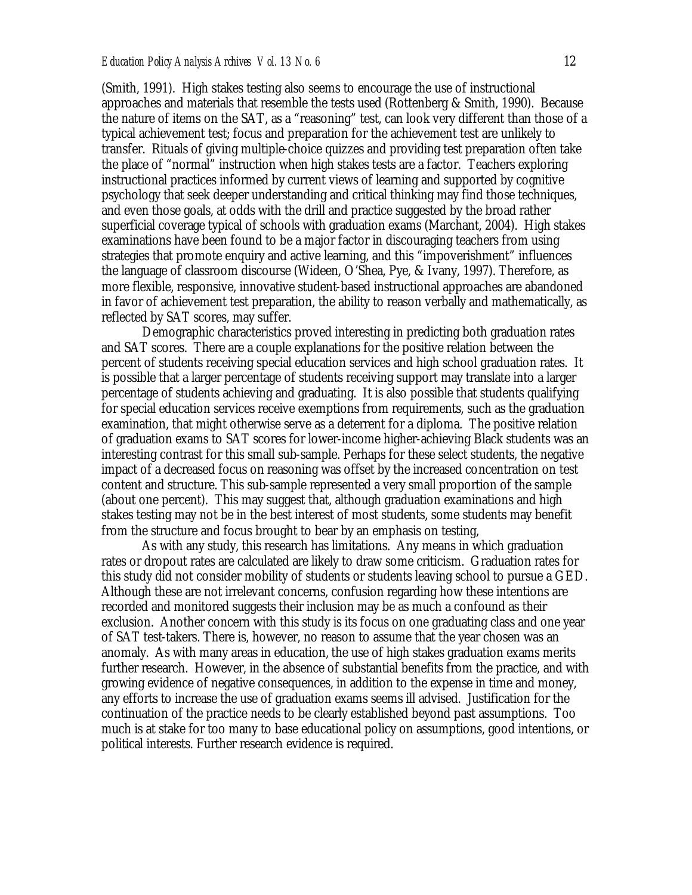(Smith, 1991). High stakes testing also seems to encourage the use of instructional approaches and materials that resemble the tests used (Rottenberg & Smith, 1990). Because the nature of items on the SAT, as a "reasoning" test, can look very different than those of a typical achievement test; focus and preparation for the achievement test are unlikely to transfer. Rituals of giving multiple-choice quizzes and providing test preparation often take the place of "normal" instruction when high stakes tests are a factor. Teachers exploring instructional practices informed by current views of learning and supported by cognitive psychology that seek deeper understanding and critical thinking may find those techniques, and even those goals, at odds with the drill and practice suggested by the broad rather superficial coverage typical of schools with graduation exams (Marchant, 2004). High stakes examinations have been found to be a major factor in discouraging teachers from using strategies that promote enquiry and active learning, and this "impoverishment" influences the language of classroom discourse (Wideen, O'Shea, Pye, & Ivany, 1997). Therefore, as more flexible, responsive, innovative student-based instructional approaches are abandoned in favor of achievement test preparation, the ability to reason verbally and mathematically, as reflected by SAT scores, may suffer.

Demographic characteristics proved interesting in predicting both graduation rates and SAT scores. There are a couple explanations for the positive relation between the percent of students receiving special education services and high school graduation rates. It is possible that a larger percentage of students receiving support may translate into a larger percentage of students achieving and graduating. It is also possible that students qualifying for special education services receive exemptions from requirements, such as the graduation examination, that might otherwise serve as a deterrent for a diploma. The positive relation of graduation exams to SAT scores for lower-income higher-achieving Black students was an interesting contrast for this small sub-sample. Perhaps for these select students, the negative impact of a decreased focus on reasoning was offset by the increased concentration on test content and structure. This sub-sample represented a very small proportion of the sample (about one percent). This may suggest that, although graduation examinations and high stakes testing may not be in the best interest of most students, some students may benefit from the structure and focus brought to bear by an emphasis on testing,

As with any study, this research has limitations. Any means in which graduation rates or dropout rates are calculated are likely to draw some criticism. Graduation rates for this study did not consider mobility of students or students leaving school to pursue a GED. Although these are not irrelevant concerns, confusion regarding how these intentions are recorded and monitored suggests their inclusion may be as much a confound as their exclusion. Another concern with this study is its focus on one graduating class and one year of SAT test-takers. There is, however, no reason to assume that the year chosen was an anomaly. As with many areas in education, the use of high stakes graduation exams merits further research. However, in the absence of substantial benefits from the practice, and with growing evidence of negative consequences, in addition to the expense in time and money, any efforts to increase the use of graduation exams seems ill advised. Justification for the continuation of the practice needs to be clearly established beyond past assumptions. Too much is at stake for too many to base educational policy on assumptions, good intentions, or political interests. Further research evidence is required.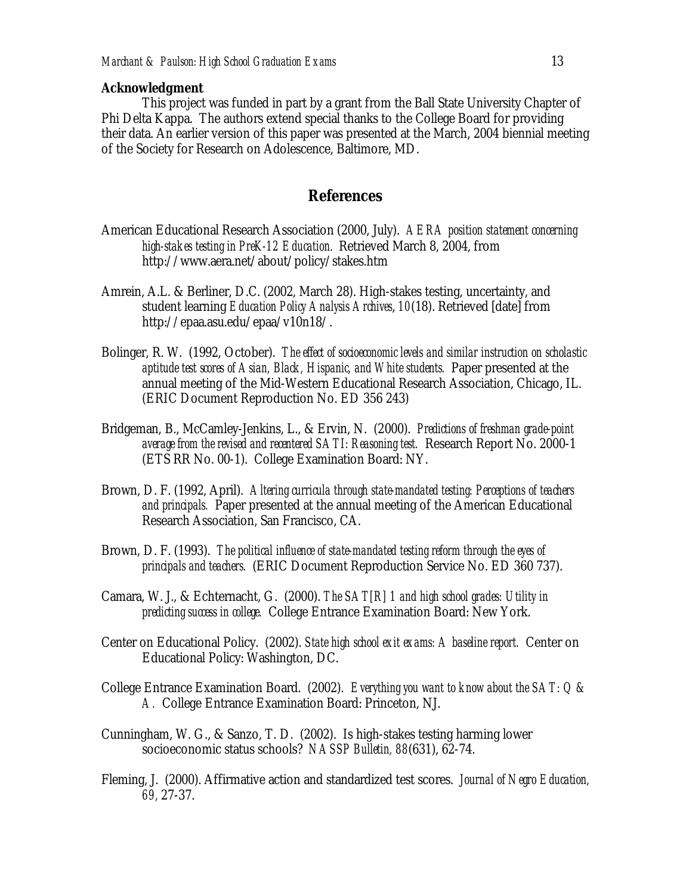#### **Acknowledgment**

This project was funded in part by a grant from the Ball State University Chapter of Phi Delta Kappa. The authors extend special thanks to the College Board for providing their data. An earlier version of this paper was presented at the March, 2004 biennial meeting of the Society for Research on Adolescence, Baltimore, MD.

#### **References**

- American Educational Research Association (2000, July). *AERA position statement concerning high-stakes testing in PreK-12 Education.* Retrieved March 8, 2004, from http://www.aera.net/about/policy/stakes.htm
- Amrein, A.L. & Berliner, D.C. (2002, March 28). High-stakes testing, uncertainty, and student learning *Education Policy Analysis Archives*, *10*(18). Retrieved [date] from http://epaa.asu.edu/epaa/v10n18/.
- Bolinger, R. W. (1992, October). *The effect of socioeconomic levels and similar instruction on scholastic aptitude test scores of Asian, Black, Hispanic, and White students.* Paper presented at the annual meeting of the Mid-Western Educational Research Association, Chicago, IL. (ERIC Document Reproduction No. ED 356 243)
- Bridgeman, B., McCamley-Jenkins, L., & Ervin, N. (2000). *Predictions of freshman grade-point average from the revised and recentered SATI: Reasoning test.* Research Report No. 2000-1 (ETS RR No. 00-1). College Examination Board: NY.
- Brown, D. F. (1992, April). *Altering curricula through state-mandated testing: Perceptions of teachers and principals.* Paper presented at the annual meeting of the American Educational Research Association, San Francisco, CA.
- Brown, D. F. (1993). *The political influence of state-mandated testing reform through the eyes of principals and teachers.* (ERIC Document Reproduction Service No. ED 360 737).
- Camara, W. J., & Echternacht, G. (2000). *The SAT[R] 1 and high school grades: Utility in predicting success in college.* College Entrance Examination Board: New York.
- Center on Educational Policy. (2002). *State high school exit exams: A baseline report.* Center on Educational Policy: Washington, DC.
- College Entrance Examination Board. (2002). *Everything you want to know about the SAT: Q & A.* College Entrance Examination Board: Princeton, NJ.
- Cunningham, W. G., & Sanzo, T. D. (2002). Is high-stakes testing harming lower socioeconomic status schools? *NASSP Bulletin, 88*(631), 62-74.
- Fleming, J. (2000). Affirmative action and standardized test scores. *Journal of Negro Education, 69,* 27-37.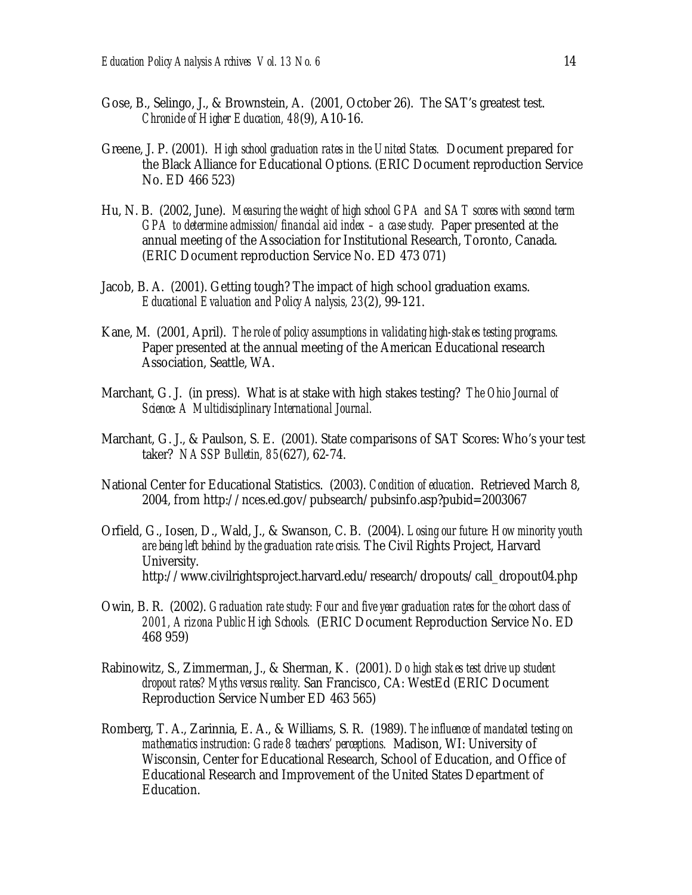- Gose, B., Selingo, J., & Brownstein, A. (2001, October 26). The SAT's greatest test. *Chronicle of Higher Education, 48*(9), A10-16.
- Greene, J. P. (2001). *High school graduation rates in the United States.* Document prepared for the Black Alliance for Educational Options. (ERIC Document reproduction Service No. ED 466 523)
- Hu, N. B. (2002, June). *Measuring the weight of high school GPA and SAT scores with second term GPA to determine admission/financial aid index – a case study.* Paper presented at the annual meeting of the Association for Institutional Research, Toronto, Canada. (ERIC Document reproduction Service No. ED 473 071)
- Jacob, B. A. (2001). Getting tough? The impact of high school graduation exams. *Educational Evaluation and Policy Analysis, 23*(2), 99-121.
- Kane, M. (2001, April). *The role of policy assumptions in validating high-stakes testing programs.*  Paper presented at the annual meeting of the American Educational research Association, Seattle, WA.
- Marchant, G. J. (in press). What is at stake with high stakes testing? *The Ohio Journal of Science: A Multidisciplinary International Journal.*
- Marchant, G. J., & Paulson, S. E. (2001). State comparisons of SAT Scores: Who's your test taker? *NASSP Bulletin, 85*(627), 62-74.
- National Center for Educational Statistics. (2003). *Condition of education*. Retrieved March 8, 2004, from http://nces.ed.gov/pubsearch/pubsinfo.asp?pubid=2003067
- Orfield, G., Iosen, D., Wald, J., & Swanson, C. B. (2004). *Losing our future: How minority youth are being left behind by the graduation rate crisis.* The Civil Rights Project, Harvard University. http://www.civilrightsproject.harvard.edu/research/dropouts/call\_dropout04.php
- Owin, B. R. (2002). *Graduation rate study: Four and five year graduation rates for the cohort class of 2001, Arizona Public High Schools.* (ERIC Document Reproduction Service No. ED 468 959)
- Rabinowitz, S., Zimmerman, J., & Sherman, K. (2001). *Do high stakes test drive up student dropout rates? Myths versus reality.* San Francisco, CA: WestEd (ERIC Document Reproduction Service Number ED 463 565)
- Romberg, T. A., Zarinnia, E. A., & Williams, S. R. (1989). *The influence of mandated testing on mathematics instruction: Grade 8 teachers' perceptions.* Madison, WI: University of Wisconsin, Center for Educational Research, School of Education, and Office of Educational Research and Improvement of the United States Department of Education.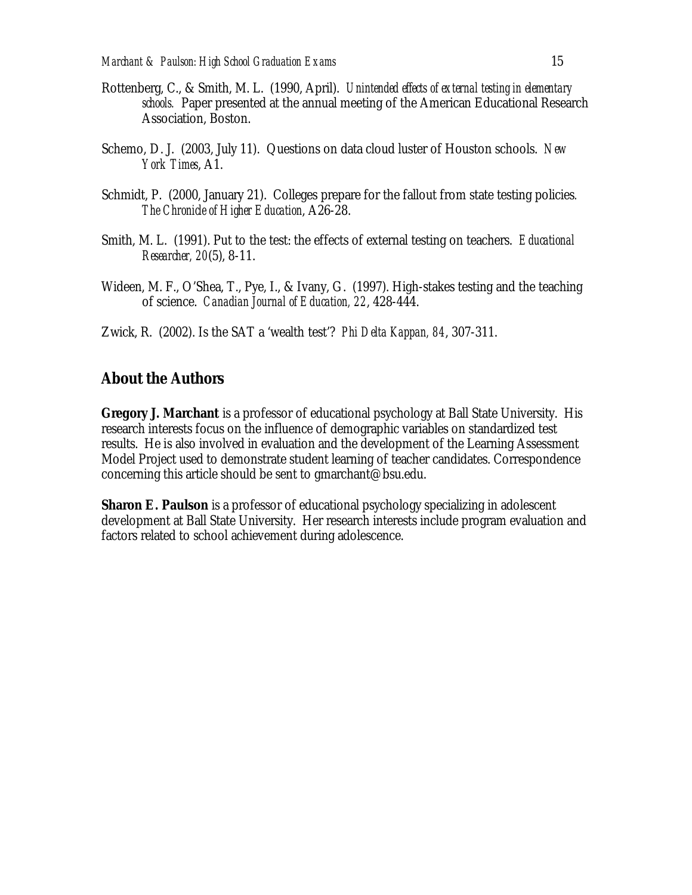- Rottenberg, C., & Smith, M. L. (1990, April). *Unintended effects of external testing in elementary schools.* Paper presented at the annual meeting of the American Educational Research Association, Boston.
- Schemo, D. J. (2003, July 11). Questions on data cloud luster of Houston schools. *New York Times*, A1.
- Schmidt, P. (2000, January 21). Colleges prepare for the fallout from state testing policies*. The Chronicle of Higher Education*, A26-28.
- Smith, M. L. (1991). Put to the test: the effects of external testing on teachers. *Educational Researcher, 20*(5), 8-11.
- Wideen, M. F., O'Shea, T., Pye, I., & Ivany, G. (1997). High-stakes testing and the teaching of science. *Canadian Journal of Education, 22*, 428-444.
- Zwick, R. (2002). Is the SAT a 'wealth test'? *Phi Delta Kappan, 84*, 307-311.

#### **About the Authors**

**Gregory J. Marchant** is a professor of educational psychology at Ball State University. His research interests focus on the influence of demographic variables on standardized test results. He is also involved in evaluation and the development of the Learning Assessment Model Project used to demonstrate student learning of teacher candidates. Correspondence concerning this article should be sent to gmarchant@bsu.edu.

**Sharon E. Paulson** is a professor of educational psychology specializing in adolescent development at Ball State University. Her research interests include program evaluation and factors related to school achievement during adolescence.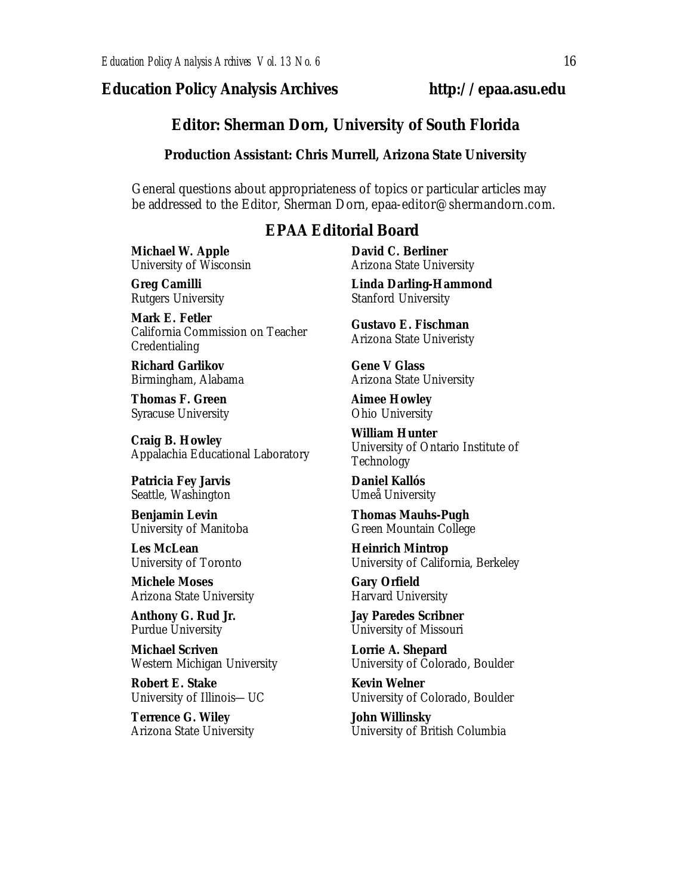### *Education Policy Analysis Archives* **http://epaa.asu.edu**

#### **Editor: Sherman Dorn, University of South Florida**

#### **Production Assistant: Chris Murrell, Arizona State University**

General questions about appropriateness of topics or particular articles may be addressed to the Editor, Sherman Dorn, epaa-editor@shermandorn.com.

#### *EPAA* **Editorial Board**

**Michael W. Apple** University of Wisconsin

**Greg Camilli** Rutgers University

**Mark E. Fetler** California Commission on Teacher Credentialing

**Richard Garlikov** Birmingham, Alabama

**Thomas F. Green** Syracuse University

**Craig B. Howley** Appalachia Educational Laboratory

**Patricia Fey Jarvis**  Seattle, Washington

**Benjamin Levin** University of Manitoba

**Les McLean** University of Toronto

**Michele Moses** Arizona State University

**Anthony G. Rud Jr.** Purdue University

**Michael Scriven** Western Michigan University

**Robert E. Stake**  University of Illinois—UC

**Terrence G. Wiley** Arizona State University **David C. Berliner**  Arizona State University

**Linda Darling-Hammond**  Stanford University

**Gustavo E. Fischman** Arizona State Univeristy

**Gene V Glass** Arizona State University

**Aimee Howley** Ohio University

**William Hunter** University of Ontario Institute of Technology

**Daniel Kallós** Umeå University

**Thomas Mauhs-Pugh** Green Mountain College

**Heinrich Mintrop**  University of California, Berkeley

**Gary Orfield** Harvard University

**Jay Paredes Scribner** University of Missouri

**Lorrie A. Shepard** University of Colorado, Boulder

**Kevin Welner** University of Colorado, Boulder

**John Willinsky** University of British Columbia